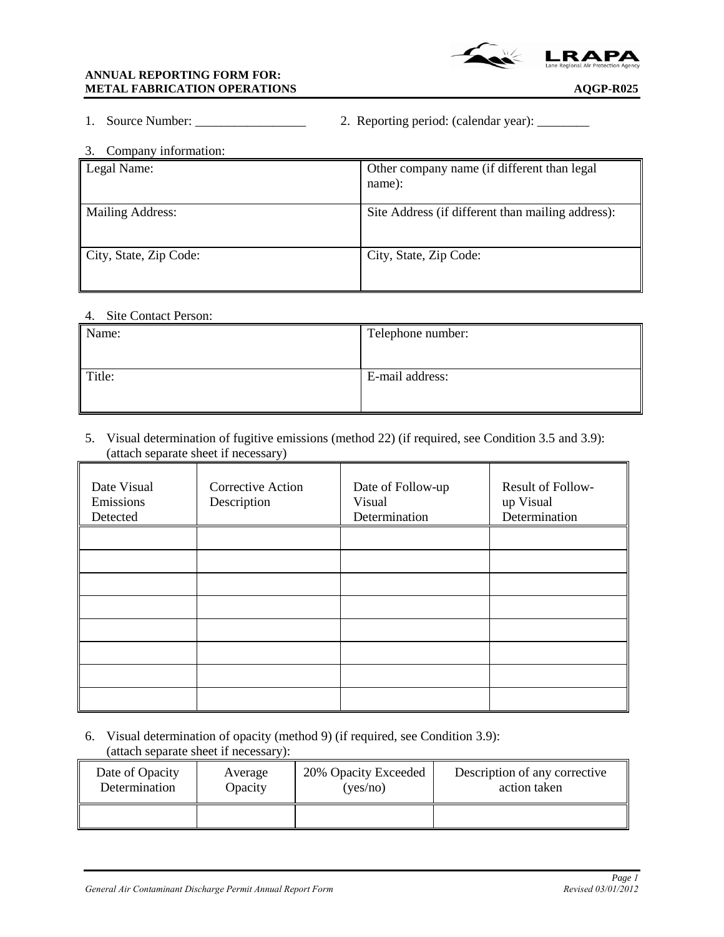

### **ANNUAL REPORTING FORM FOR: METAL FABRICATION OPERATIONS AQGP-R025**

|  | 1. Source Number: |  | 2. Reporting period: (calendar year): |  |  |
|--|-------------------|--|---------------------------------------|--|--|
|--|-------------------|--|---------------------------------------|--|--|

| Company information:<br>3. |                                                       |
|----------------------------|-------------------------------------------------------|
| Legal Name:                | Other company name (if different than legal<br>name): |
| <b>Mailing Address:</b>    | Site Address (if different than mailing address):     |
| City, State, Zip Code:     | City, State, Zip Code:                                |

#### 4. Site Contact Person:

| Name:  | Telephone number: |
|--------|-------------------|
| Title: | E-mail address:   |

## 5. Visual determination of fugitive emissions (method 22) (if required, see Condition 3.5 and 3.9): (attach separate sheet if necessary)

| Date Visual<br>Emissions<br>Detected | Corrective Action<br>Description | Date of Follow-up<br>Visual<br>Determination | Result of Follow-<br>up Visual<br>Determination |
|--------------------------------------|----------------------------------|----------------------------------------------|-------------------------------------------------|
|                                      |                                  |                                              |                                                 |
|                                      |                                  |                                              |                                                 |
|                                      |                                  |                                              |                                                 |
|                                      |                                  |                                              |                                                 |
|                                      |                                  |                                              |                                                 |
|                                      |                                  |                                              |                                                 |
|                                      |                                  |                                              |                                                 |
|                                      |                                  |                                              |                                                 |

6. Visual determination of opacity (method 9) (if required, see Condition 3.9): (attach separate sheet if necessary):

| Date of Opacity | Average | 20% Opacity Exceeded | Description of any corrective |
|-----------------|---------|----------------------|-------------------------------|
| Determination   | Opacity | (yes/no)             | action taken                  |
|                 |         |                      |                               |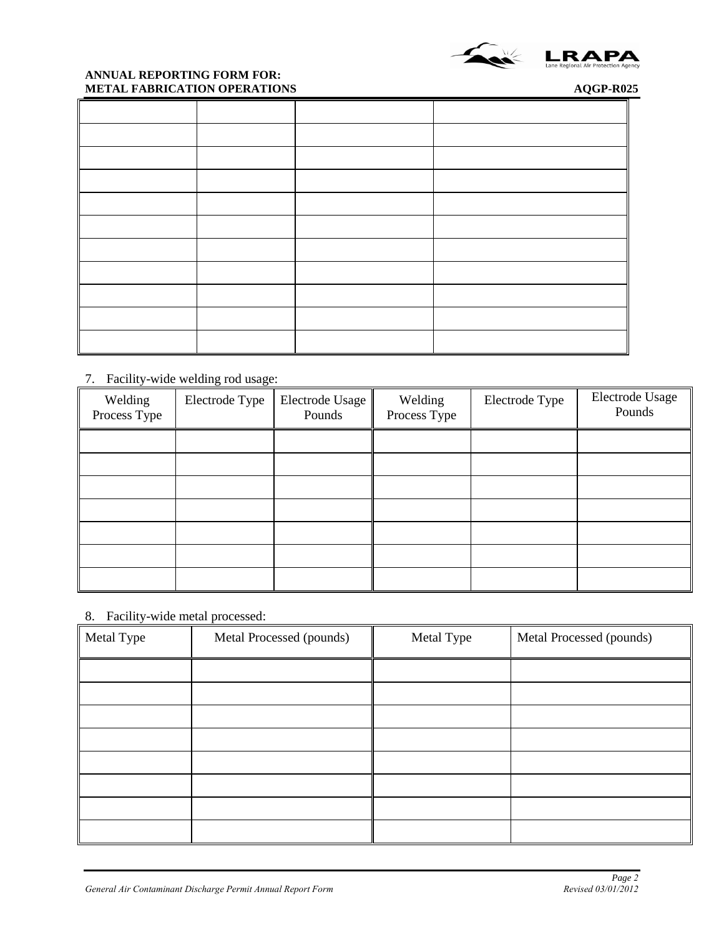

### **ANNUAL REPORTING FORM FOR: METAL FABRICATION OPERATIONS AQGP-R025**

# 7. Facility-wide welding rod usage:

| Welding<br>Process Type | Electrode Type | <b>Electrode Usage</b><br>Pounds | Welding<br>Process Type | Electrode Type | Electrode Usage<br>Pounds |
|-------------------------|----------------|----------------------------------|-------------------------|----------------|---------------------------|
|                         |                |                                  |                         |                |                           |
|                         |                |                                  |                         |                |                           |
|                         |                |                                  |                         |                |                           |
|                         |                |                                  |                         |                |                           |
|                         |                |                                  |                         |                |                           |
|                         |                |                                  |                         |                |                           |
|                         |                |                                  |                         |                |                           |

# 8. Facility-wide metal processed:

| Metal Type | Metal Processed (pounds) | Metal Type | Metal Processed (pounds) |
|------------|--------------------------|------------|--------------------------|
|            |                          |            |                          |
|            |                          |            |                          |
|            |                          |            |                          |
|            |                          |            |                          |
|            |                          |            |                          |
|            |                          |            |                          |
|            |                          |            |                          |
|            |                          |            |                          |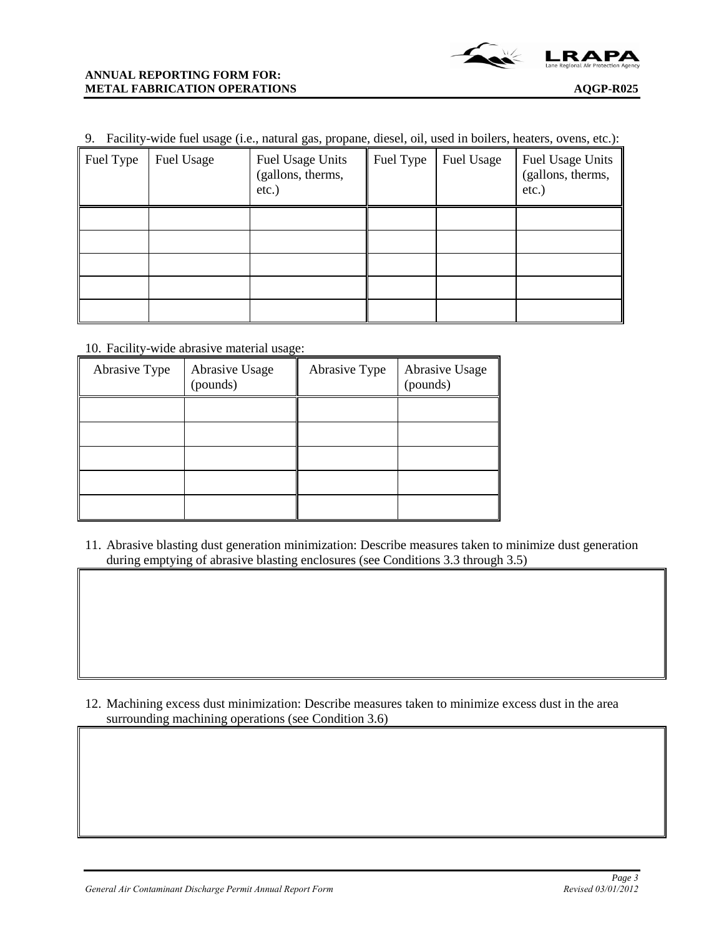

| 9. Facility-wide fuel usage (i.e., natural gas, propane, diesel, oil, used in boilers, heaters, ovens, etc.): |
|---------------------------------------------------------------------------------------------------------------|
|---------------------------------------------------------------------------------------------------------------|

| Fuel Type | Fuel Usage | Fuel Usage Units<br>(gallons, therms,<br>$etc.$ ) | Fuel Type | Fuel Usage | Fuel Usage Units<br>(gallons, therms,<br>etc.) |
|-----------|------------|---------------------------------------------------|-----------|------------|------------------------------------------------|
|           |            |                                                   |           |            |                                                |
|           |            |                                                   |           |            |                                                |
|           |            |                                                   |           |            |                                                |
|           |            |                                                   |           |            |                                                |
|           |            |                                                   |           |            |                                                |

10. Facility-wide abrasive material usage:

| Abrasive Type | Abrasive Usage<br>(pounds) | Abrasive Type | Abrasive Usage<br>(pounds) |
|---------------|----------------------------|---------------|----------------------------|
|               |                            |               |                            |
|               |                            |               |                            |
|               |                            |               |                            |
|               |                            |               |                            |
|               |                            |               |                            |

11. Abrasive blasting dust generation minimization: Describe measures taken to minimize dust generation during emptying of abrasive blasting enclosures (see Conditions 3.3 through 3.5)

12. Machining excess dust minimization: Describe measures taken to minimize excess dust in the area surrounding machining operations (see Condition 3.6)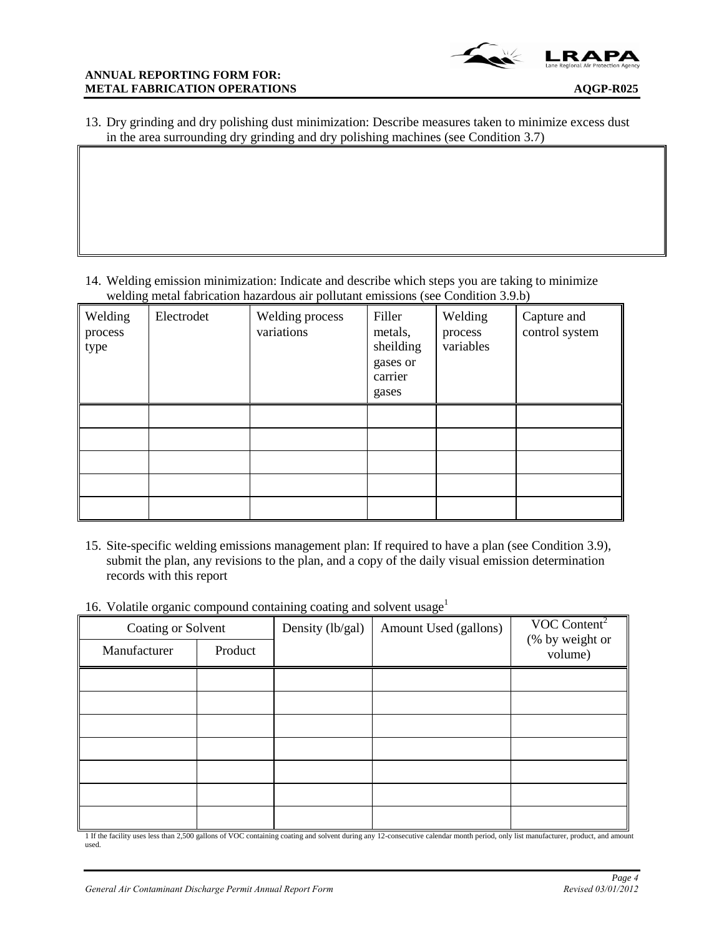13. Dry grinding and dry polishing dust minimization: Describe measures taken to minimize excess dust in the area surrounding dry grinding and dry polishing machines (see Condition 3.7)

14. Welding emission minimization: Indicate and describe which steps you are taking to minimize welding metal fabrication hazardous air pollutant emissions (see Condition 3.9.b)

| Welding<br>process<br>type | Electrodet | Welding process<br>variations | Filler<br>metals,<br>sheilding<br>gases or<br>carrier<br>gases | Welding<br>process<br>variables | Capture and<br>control system |
|----------------------------|------------|-------------------------------|----------------------------------------------------------------|---------------------------------|-------------------------------|
|                            |            |                               |                                                                |                                 |                               |
|                            |            |                               |                                                                |                                 |                               |
|                            |            |                               |                                                                |                                 |                               |
|                            |            |                               |                                                                |                                 |                               |
|                            |            |                               |                                                                |                                 |                               |

- 15. Site-specific welding emissions management plan: If required to have a plan (see Condition 3.9), submit the plan, any revisions to the plan, and a copy of the daily visual emission determination records with this report
- 16. Volatile organic compound containing coating and solvent usage<sup>1</sup>

| Coating or Solvent |         | Density (lb/gal) | Amount Used (gallons) | $VOC$ Content <sup>2</sup> |
|--------------------|---------|------------------|-----------------------|----------------------------|
| Manufacturer       | Product |                  |                       | (% by weight or<br>volume) |
|                    |         |                  |                       |                            |
|                    |         |                  |                       |                            |
|                    |         |                  |                       |                            |
|                    |         |                  |                       |                            |
|                    |         |                  |                       |                            |
|                    |         |                  |                       |                            |
|                    |         |                  |                       |                            |

1 If the facility uses less than 2,500 gallons of VOC containing coating and solvent during any 12-consecutive calendar month period, only list manufacturer, product, and amount used.